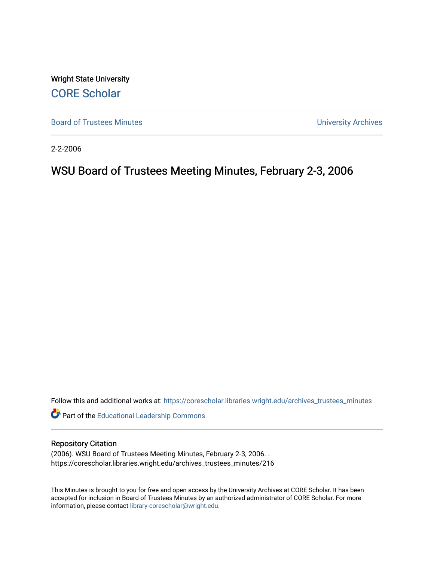Wright State University [CORE Scholar](https://corescholar.libraries.wright.edu/)

[Board of Trustees Minutes](https://corescholar.libraries.wright.edu/archives_trustees_minutes) **Exercise 2018** Solution 2018 10:30 Minutes University Archives

2-2-2006

# WSU Board of Trustees Meeting Minutes, February 2-3, 2006

Follow this and additional works at: [https://corescholar.libraries.wright.edu/archives\\_trustees\\_minutes](https://corescholar.libraries.wright.edu/archives_trustees_minutes?utm_source=corescholar.libraries.wright.edu%2Farchives_trustees_minutes%2F216&utm_medium=PDF&utm_campaign=PDFCoverPages) 

Part of the [Educational Leadership Commons](http://network.bepress.com/hgg/discipline/1230?utm_source=corescholar.libraries.wright.edu%2Farchives_trustees_minutes%2F216&utm_medium=PDF&utm_campaign=PDFCoverPages) 

#### Repository Citation

(2006). WSU Board of Trustees Meeting Minutes, February 2-3, 2006. . https://corescholar.libraries.wright.edu/archives\_trustees\_minutes/216

This Minutes is brought to you for free and open access by the University Archives at CORE Scholar. It has been accepted for inclusion in Board of Trustees Minutes by an authorized administrator of CORE Scholar. For more information, please contact [library-corescholar@wright.edu.](mailto:library-corescholar@wright.edu)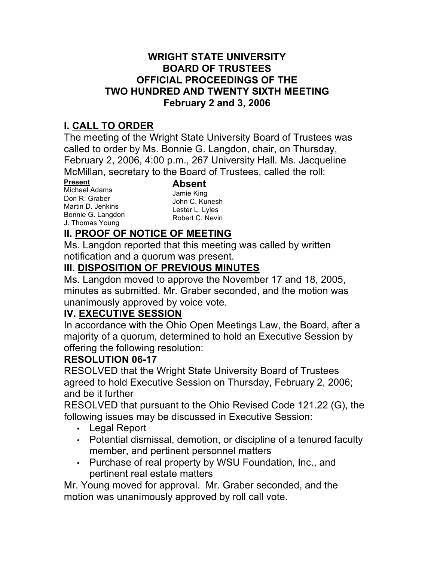### **WRIGHT STATE UNIVERSITY OFFICIAL PROCEEDINGS OF THE TWO HUNDRED AND TWENTY SIXTH MEETING BOARD OF TRUSTEES February 2 and 3, 2006**

# **I. CALL TO ORDER**

 The meeting of the Wright State University Board of Trustees was called to order by Ms. Bonnie G. Langdon, chair, on Thursday, February 2, 2006, 4:00 p.m., 267 University Hall. Ms. Jacqueline McMillan, secretary to the Board of Trustees, called the roll:

Don R. Graber Martin D. Jenkins Bonnie G. Langdon **Present Absent**<br>Michael Adams **Absent** Michael Adams<br>
Don R. Graber Jamie King<br>
Martin D. Jenkins Lester L. Lyles<br>
Bonnie G. Langdon Robert C. Nevin<br>
J. Thomas Young Robert C. Nevin

John C. Kunesh Lester L. Lyles Robert C. Nevin

# **II. PROOF OF NOTICE OF MEETING**

 Ms. Langdon reported that this meeting was called by written notification and a quorum was present.

# **III. DISPOSITION OF PREVIOUS MINUTES**

 Ms. Langdon moved to approve the November 17 and 18, 2005, minutes as submitted. Mr. Graber seconded, and the motion was unanimously approved by voice vote.

# **IV. EXECUTIVE SESSION**

 majority of a quorum, determined to hold an Executive Session by In accordance with the Ohio Open Meetings Law, the Board, after a offering the following resolution:

# **RESOLUTION 06-17**

 agreed to hold Executive Session on Thursday, February 2, 2006; RESOLVED that the Wright State University Board of Trustees and be it further

 RESOLVED that pursuant to the Ohio Revised Code 121.22 (G), the following issues may be discussed in Executive Session:

- Legal Report
- • Potential dismissal, demotion, or discipline of a tenured faculty member, and pertinent personnel matters
- • Purchase of real property by WSU Foundation, Inc., and pertinent real estate matters

 Mr. Young moved for approval. Mr. Graber seconded, and the motion was unanimously approved by roll call vote.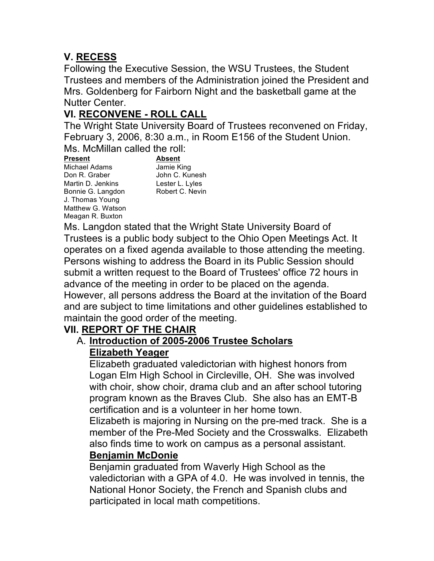# **V. RECESS**

 Following the Executive Session, the WSU Trustees, the Student Trustees and members of the Administration joined the President and Mrs. Goldenberg for Fairborn Night and the basketball game at the Nutter Center.

# **VI. RECONVENE - ROLL CALL**

 The Wright State University Board of Trustees reconvened on Friday, February 3, 2006, 8:30 a.m., in Room E156 of the Student Union. Ms. McMillan called the roll:

Don R. Graber Martin D. Jenkins Lester L. Lyles Bonnie G. Langdon Robert C. Nevin Matthew G. Watson Meagan R. Buxton Don R. Graber John C. Kunesh **Present Absent**  Michael Adams Jamie King J. Thomas Young

Lester L. Lyles Robert C. Nevin

 Ms. Langdon stated that the Wright State University Board of Trustees is a public body subject to the Ohio Open Meetings Act. It Persons wishing to address the Board in its Public Session should submit a written request to the Board of Trustees' office 72 hours in However, all persons address the Board at the invitation of the Board maintain the good order of the meeting. operates on a fixed agenda available to those attending the meeting. advance of the meeting in order to be placed on the agenda. and are subject to time limitations and other guidelines established to

# **VII. REPORT OF THE CHAIR**

#### A. **Introduction of 2005-2006 Trustee Scholars Elizabeth Yeager**

 Elizabeth graduated valedictorian with highest honors from with choir, show choir, drama club and an after school tutoring certification and is a volunteer in her home town. Logan Elm High School in Circleville, OH. She was involved program known as the Braves Club. She also has an EMT-B

 Elizabeth is majoring in Nursing on the pre-med track. She is a member of the Pre-Med Society and the Crosswalks. Elizabeth also finds time to work on campus as a personal assistant.

#### **Benjamin McDonie**

 Benjamin graduated from Waverly High School as the National Honor Society, the French and Spanish clubs and valedictorian with a GPA of 4.0. He was involved in tennis, the participated in local math competitions.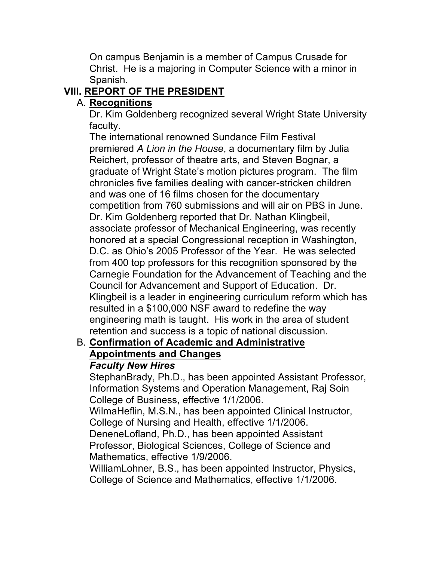On campus Benjamin is a member of Campus Crusade for Spanish. Christ. He is a majoring in Computer Science with a minor in

# **VIII. REPORT OF THE PRESIDENT**

# A. **Recognitions**

 Dr. Kim Goldenberg recognized several Wright State University faculty.

 The international renowned Sundance Film Festival  premiered *A Lion in the House*, a documentary film by Julia Reichert, professor of theatre arts, and Steven Bognar, a graduate of Wright State's motion pictures program. The film competition from 760 submissions and will air on PBS in June. Dr. Kim Goldenberg reported that Dr. Nathan Klingbeil, associate professor of Mechanical Engineering, was recently honored at a special Congressional reception in Washington, D.C. as Ohio's 2005 Professor of the Year. He was selected Carnegie Foundation for the Advancement of Teaching and the Council for Advancement and Support of Education. Dr. Klingbeil is a leader in engineering curriculum reform which has resulted in a \$100,000 NSF award to redefine the way engineering math is taught. His work in the area of student retention and success is a topic of national discussion. chronicles five families dealing with cancer-stricken children and was one of 16 films chosen for the documentary from 400 top professors for this recognition sponsored by the

#### B. **Confirmation of Academic and Administrative Appointments and Changes**  *Faculty New Hires*

 StephanBrady, Ph.D., has been appointed Assistant Professor, College of Business, effective 1/1/2006. Information Systems and Operation Management, Raj Soin

 WilmaHeflin, M.S.N., has been appointed Clinical Instructor, College of Nursing and Health, effective 1/1/2006.

 DeneneLofland, Ph.D., has been appointed Assistant Professor, Biological Sciences, College of Science and Mathematics, effective 1/9/2006.

 WilliamLohner, B.S., has been appointed Instructor, Physics, College of Science and Mathematics, effective 1/1/2006.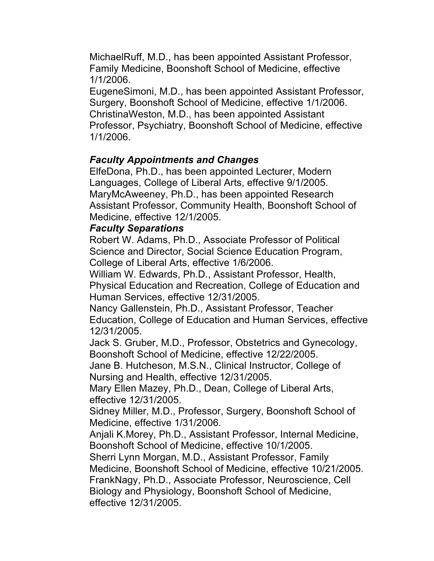MichaelRuff, M.D., has been appointed Assistant Professor, Family Medicine, Boonshoft School of Medicine, effective 1/1/2006.

 EugeneSimoni, M.D., has been appointed Assistant Professor, Surgery, Boonshoft School of Medicine, effective 1/1/2006. ChristinaWeston, M.D., has been appointed Assistant Professor, Psychiatry, Boonshoft School of Medicine, effective 1/1/2006.

#### *Faculty Appointments and Changes*

 ElfeDona, Ph.D., has been appointed Lecturer, Modern Languages, College of Liberal Arts, effective 9/1/2005. MaryMcAweeney, Ph.D., has been appointed Research Assistant Professor, Community Health, Boonshoft School of Medicine, effective 12/1/2005.

#### *Faculty Separations*

 Robert W. Adams, Ph.D., Associate Professor of Political Science and Director, Social Science Education Program, College of Liberal Arts, effective 1/6/2006.

 William W. Edwards, Ph.D., Assistant Professor, Health, Human Services, effective 12/31/2005. Physical Education and Recreation, College of Education and

 Nancy Gallenstein, Ph.D., Assistant Professor, Teacher Education, College of Education and Human Services, effective 12/31/2005.

 Jack S. Gruber, M.D., Professor, Obstetrics and Gynecology, Boonshoft School of Medicine, effective 12/22/2005.

 Jane B. Hutcheson, M.S.N., Clinical Instructor, College of Nursing and Health, effective 12/31/2005.

 Mary Ellen Mazey, Ph.D., Dean, College of Liberal Arts, effective 12/31/2005.

 Medicine, effective 1/31/2006. Sidney Miller, M.D., Professor, Surgery, Boonshoft School of

 Anjali K.Morey, Ph.D., Assistant Professor, Internal Medicine, Boonshoft School of Medicine, effective 10/1/2005.

 Sherri Lynn Morgan, M.D., Assistant Professor, Family Medicine, Boonshoft School of Medicine, effective 10/21/2005. FrankNagy, Ph.D., Associate Professor, Neuroscience, Cell Biology and Physiology, Boonshoft School of Medicine, effective 12/31/2005.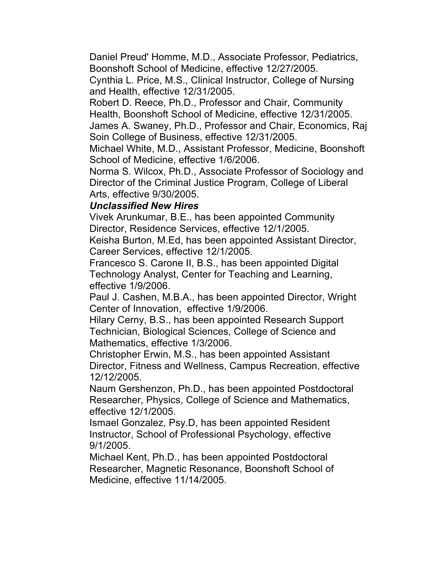Daniel Preud' Homme, M.D., Associate Professor, Pediatrics, Boonshoft School of Medicine, effective 12/27/2005.

 Cynthia L. Price, M.S., Clinical Instructor, College of Nursing and Health, effective 12/31/2005.

 Robert D. Reece, Ph.D., Professor and Chair, Community Health, Boonshoft School of Medicine, effective 12/31/2005.

 James A. Swaney, Ph.D., Professor and Chair, Economics, Raj Soin College of Business, effective 12/31/2005.

 Michael White, M.D., Assistant Professor, Medicine, Boonshoft School of Medicine, effective 1/6/2006.

 Norma S. Wilcox, Ph.D., Associate Professor of Sociology and Director of the Criminal Justice Program, College of Liberal Arts, effective 9/30/2005.

### *Unclassified New Hires*

 Vivek Arunkumar, B.E., has been appointed Community Director, Residence Services, effective 12/1/2005.

 Keisha Burton, M.Ed, has been appointed Assistant Director, Career Services, effective 12/1/2005.

 Francesco S. Carone II, B.S., has been appointed Digital Technology Analyst, Center for Teaching and Learning, effective 1/9/2006.

 Paul J. Cashen, M.B.A., has been appointed Director, Wright Center of Innovation, effective 1/9/2006.

 Hilary Cerny, B.S., has been appointed Research Support Technician, Biological Sciences, College of Science and Mathematics, effective 1/3/2006.

 Christopher Erwin, M.S., has been appointed Assistant Director, Fitness and Wellness, Campus Recreation, effective 12/12/2005.

 Naum Gershenzon, Ph.D., has been appointed Postdoctoral Researcher, Physics, College of Science and Mathematics, effective 12/1/2005.

Ismael Gonzalez, Psy.D, has been appointed Resident Instructor, School of Professional Psychology, effective 9/1/2005.

 Michael Kent, Ph.D., has been appointed Postdoctoral Researcher, Magnetic Resonance, Boonshoft School of Medicine, effective 11/14/2005.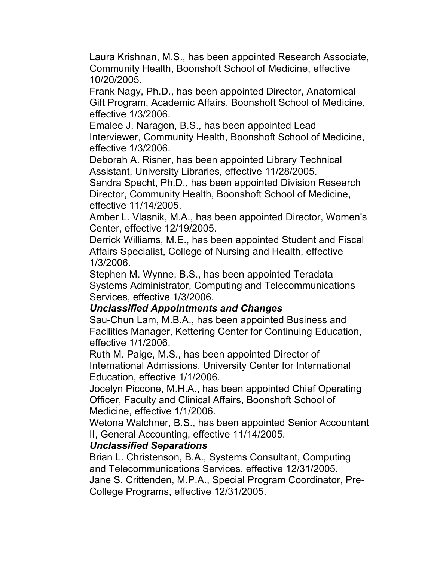Laura Krishnan, M.S., has been appointed Research Associate, Community Health, Boonshoft School of Medicine, effective 10/20/2005.

 Frank Nagy, Ph.D., has been appointed Director, Anatomical Gift Program, Academic Affairs, Boonshoft School of Medicine, effective 1/3/2006.

 Emalee J. Naragon, B.S., has been appointed Lead Interviewer, Community Health, Boonshoft School of Medicine, effective 1/3/2006.

 Deborah A. Risner, has been appointed Library Technical Assistant, University Libraries, effective 11/28/2005.

 Sandra Specht, Ph.D., has been appointed Division Research Director, Community Health, Boonshoft School of Medicine, effective 11/14/2005.

 Amber L. Vlasnik, M.A., has been appointed Director, Women's Center, effective 12/19/2005.

 Derrick Williams, M.E., has been appointed Student and Fiscal Affairs Specialist, College of Nursing and Health, effective 1/3/2006.

 Stephen M. Wynne, B.S., has been appointed Teradata Systems Administrator, Computing and Telecommunications Services, effective 1/3/2006.

#### *Unclassified Appointments and Changes*

 Sau-Chun Lam, M.B.A., has been appointed Business and Facilities Manager, Kettering Center for Continuing Education, effective 1/1/2006.

 Ruth M. Paige, M.S., has been appointed Director of International Admissions, University Center for International Education, effective 1/1/2006.

 Jocelyn Piccone, M.H.A., has been appointed Chief Operating Officer, Faculty and Clinical Affairs, Boonshoft School of Medicine, effective 1/1/2006.

 Wetona Walchner, B.S., has been appointed Senior Accountant II, General Accounting, effective 11/14/2005.

#### *Unclassified Separations*

 Brian L. Christenson, B.A., Systems Consultant, Computing Jane S. Crittenden, M.P.A., Special Program Coordinator, Preand Telecommunications Services, effective 12/31/2005. College Programs, effective 12/31/2005.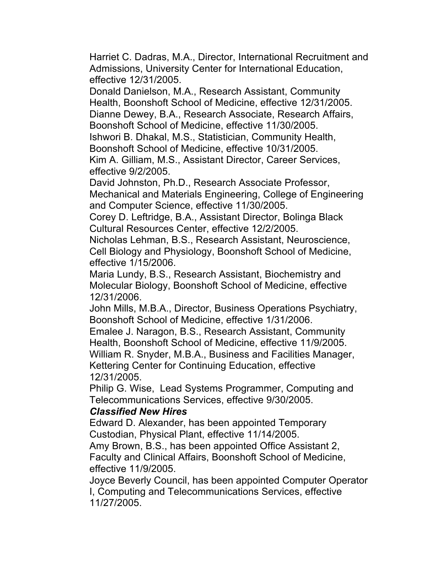Harriet C. Dadras, M.A., Director, International Recruitment and Admissions, University Center for International Education, effective 12/31/2005.

 Donald Danielson, M.A., Research Assistant, Community Health, Boonshoft School of Medicine, effective 12/31/2005. Dianne Dewey, B.A., Research Associate, Research Affairs, Boonshoft School of Medicine, effective 11/30/2005. Ishwori B. Dhakal, M.S., Statistician, Community Health,

 Boonshoft School of Medicine, effective 10/31/2005. Kim A. Gilliam, M.S., Assistant Director, Career Services, effective 9/2/2005.

 David Johnston, Ph.D., Research Associate Professor, Mechanical and Materials Engineering, College of Engineering and Computer Science, effective 11/30/2005.

 Corey D. Leftridge, B.A., Assistant Director, Bolinga Black Cultural Resources Center, effective 12/2/2005.

 Nicholas Lehman, B.S., Research Assistant, Neuroscience, Cell Biology and Physiology, Boonshoft School of Medicine, effective 1/15/2006.

 Maria Lundy, B.S., Research Assistant, Biochemistry and Molecular Biology, Boonshoft School of Medicine, effective 12/31/2006.

 John Mills, M.B.A., Director, Business Operations Psychiatry, Boonshoft School of Medicine, effective 1/31/2006.

 Emalee J. Naragon, B.S., Research Assistant, Community Health, Boonshoft School of Medicine, effective 11/9/2005. William R. Snyder, M.B.A., Business and Facilities Manager, Kettering Center for Continuing Education, effective 12/31/2005.

 Philip G. Wise, Lead Systems Programmer, Computing and Telecommunications Services, effective 9/30/2005.

#### *Classified New Hires*

 Edward D. Alexander, has been appointed Temporary Custodian, Physical Plant, effective 11/14/2005.

 Amy Brown, B.S., has been appointed Office Assistant 2, Faculty and Clinical Affairs, Boonshoft School of Medicine, effective 11/9/2005.

 Joyce Beverly Council, has been appointed Computer Operator I, Computing and Telecommunications Services, effective 11/27/2005.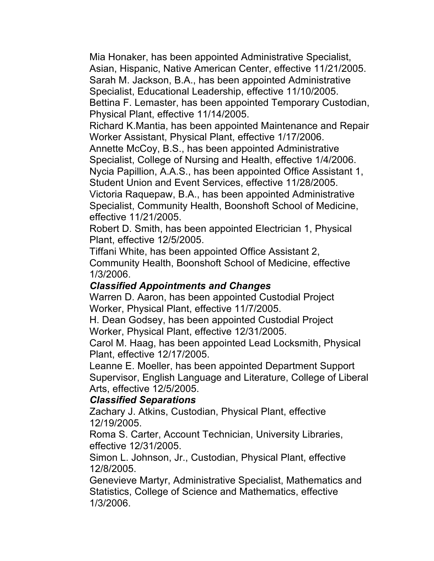Mia Honaker, has been appointed Administrative Specialist, Asian, Hispanic, Native American Center, effective 11/21/2005. Sarah M. Jackson, B.A., has been appointed Administrative Specialist, Educational Leadership, effective 11/10/2005. Bettina F. Lemaster, has been appointed Temporary Custodian, Physical Plant, effective 11/14/2005.

 Richard K.Mantia, has been appointed Maintenance and Repair Worker Assistant, Physical Plant, effective 1/17/2006.

 Annette McCoy, B.S., has been appointed Administrative Specialist, College of Nursing and Health, effective 1/4/2006.

 Nycia Papillion, A.A.S., has been appointed Office Assistant 1, Student Union and Event Services, effective 11/28/2005.

 Victoria Raquepaw, B.A., has been appointed Administrative Specialist, Community Health, Boonshoft School of Medicine, effective 11/21/2005.

 Robert D. Smith, has been appointed Electrician 1, Physical Plant, effective 12/5/2005.

 Tiffani White, has been appointed Office Assistant 2, Community Health, Boonshoft School of Medicine, effective 1/3/2006.

#### *Classified Appointments and Changes*

 Warren D. Aaron, has been appointed Custodial Project Worker, Physical Plant, effective 11/7/2005.

 H. Dean Godsey, has been appointed Custodial Project Worker, Physical Plant, effective 12/31/2005.

 Carol M. Haag, has been appointed Lead Locksmith, Physical Plant, effective 12/17/2005.

 Leanne E. Moeller, has been appointed Department Support Supervisor, English Language and Literature, College of Liberal Arts, effective 12/5/2005.

#### *Classified Separations*

 Zachary J. Atkins, Custodian, Physical Plant, effective 12/19/2005.

 Roma S. Carter, Account Technician, University Libraries, effective 12/31/2005.

 Simon L. Johnson, Jr., Custodian, Physical Plant, effective 12/8/2005.

 Genevieve Martyr, Administrative Specialist, Mathematics and Statistics, College of Science and Mathematics, effective 1/3/2006.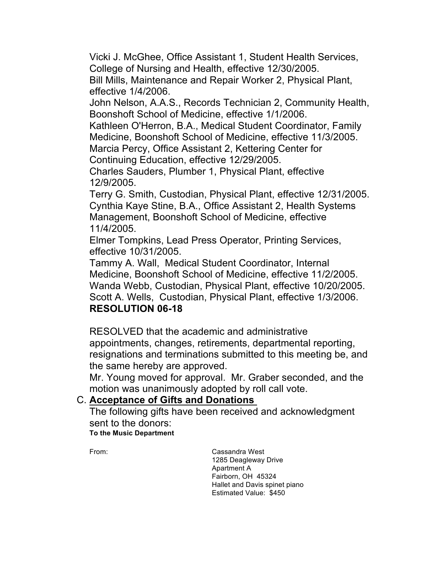Vicki J. McGhee, Office Assistant 1, Student Health Services, College of Nursing and Health, effective 12/30/2005.

 Bill Mills, Maintenance and Repair Worker 2, Physical Plant, effective 1/4/2006.

 John Nelson, A.A.S., Records Technician 2, Community Health, Boonshoft School of Medicine, effective 1/1/2006.

 Kathleen O'Herron, B.A., Medical Student Coordinator, Family Medicine, Boonshoft School of Medicine, effective 11/3/2005. Marcia Percy, Office Assistant 2, Kettering Center for

Continuing Education, effective 12/29/2005.

 Charles Sauders, Plumber 1, Physical Plant, effective 12/9/2005.

 Terry G. Smith, Custodian, Physical Plant, effective 12/31/2005. Cynthia Kaye Stine, B.A., Office Assistant 2, Health Systems Management, Boonshoft School of Medicine, effective 11/4/2005.

 Elmer Tompkins, Lead Press Operator, Printing Services, effective 10/31/2005.

 Tammy A. Wall, Medical Student Coordinator, Internal Medicine, Boonshoft School of Medicine, effective 11/2/2005. Wanda Webb, Custodian, Physical Plant, effective 10/20/2005. Scott A. Wells, Custodian, Physical Plant, effective 1/3/2006. **RESOLUTION 06-18** 

 RESOLVED that the academic and administrative appointments, changes, retirements, departmental reporting, resignations and terminations submitted to this meeting be, and

the same hereby are approved.

 Mr. Young moved for approval. Mr. Graber seconded, and the motion was unanimously adopted by roll call vote.

# C. **Acceptance of Gifts and Donations**

 **To the Music Department**  The following gifts have been received and acknowledgment sent to the donors:

 Hallet and Davis spinet piano From: Cassandra West 1285 Deagleway Drive Apartment A Fairborn, OH 45324 Estimated Value: \$450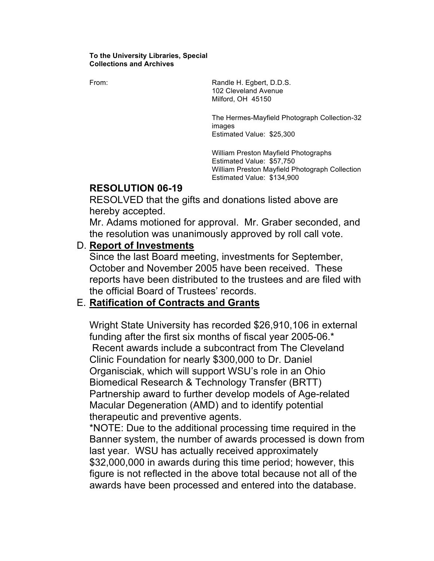#### **To the University Libraries, Special Collections and Archives**

From: The Randle H. Egbert, D.D.S. 102 Cleveland Avenue Milford, OH 45150

> The Hermes-Mayfield Photograph Collection-32 images Estimated Value: \$25,300

> William Preston Mayfield Photographs William Preston Mayfield Photograph Collection Estimated Value: \$57,750 Estimated Value: \$134,900

#### **RESOLUTION 06-19**

 RESOLVED that the gifts and donations listed above are hereby accepted.

 Mr. Adams motioned for approval. Mr. Graber seconded, and the resolution was unanimously approved by roll call vote.

#### D. **Report of Investments**

 Since the last Board meeting, investments for September, October and November 2005 have been received. These reports have been distributed to the trustees and are filed with the official Board of Trustees' records.

#### E. **Ratification of Contracts and Grants**

 Wright State University has recorded \$26,910,106 in external Recent awards include a subcontract from The Cleveland Clinic Foundation for nearly \$300,000 to Dr. Daniel Organisciak, which will support WSU's role in an Ohio Biomedical Research & Technology Transfer (BRTT) Partnership award to further develop models of Age-related Macular Degeneration (AMD) and to identify potential therapeutic and preventive agents. funding after the first six months of fiscal year 2005-06.\*

therapeutic and preventive agents.<br>\*NOTE: Due to the additional processing time required in the Banner system, the number of awards processed is down from \$32,000,000 in awards during this time period; however, this last year. WSU has actually received approximately figure is not reflected in the above total because not all of the awards have been processed and entered into the database.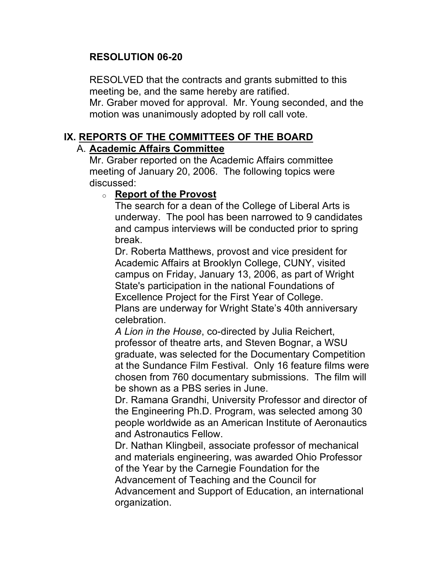### **RESOLUTION 06-20**

 RESOLVED that the contracts and grants submitted to this meeting be, and the same hereby are ratified. Mr. Graber moved for approval. Mr. Young seconded, and the motion was unanimously adopted by roll call vote.

# **IX. REPORTS OF THE COMMITTEES OF THE BOARD**

#### A. **Academic Affairs Committee**

 Mr. Graber reported on the Academic Affairs committee meeting of January 20, 2006. The following topics were discussed:

#### o **Report of the Provost**

 The search for a dean of the College of Liberal Arts is underway. The pool has been narrowed to 9 candidates and campus interviews will be conducted prior to spring break.

 Dr. Roberta Matthews, provost and vice president for Academic Affairs at Brooklyn College, CUNY, visited campus on Friday, January 13, 2006, as part of Wright State's participation in the national Foundations of Excellence Project for the First Year of College.

 Plans are underway for Wright State's 40th anniversary celebration.

 *A Lion in the House*, co-directed by Julia Reichert, professor of theatre arts, and Steven Bognar, a WSU be shown as a PBS series in June. graduate, was selected for the Documentary Competition at the Sundance Film Festival. Only 16 feature films were chosen from 760 documentary submissions. The film will

be shown as a PBS series in June.<br>Dr. Ramana Grandhi, University Professor and director of the Engineering Ph.D. Program, was selected among 30 people worldwide as an American Institute of Aeronautics and Astronautics Fellow.

 Dr. Nathan Klingbeil, associate professor of mechanical of the Year by the Carnegie Foundation for the Advancement of Teaching and the Council for Advancement and Support of Education, an international and materials engineering, was awarded Ohio Professor organization.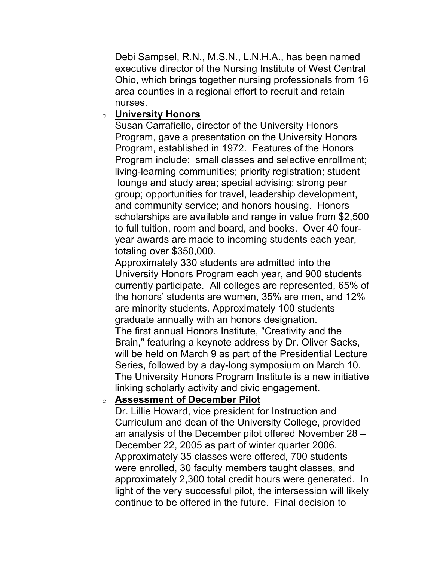Debi Sampsel, R.N., M.S.N., L.N.H.A., has been named executive director of the Nursing Institute of West Central area counties in a regional effort to recruit and retain Ohio, which brings together nursing professionals from 16 nurses.

### o **University Honors**

 Susan Carrafiello**,** director of the University Honors Program, gave a presentation on the University Honors group; opportunities for travel, leadership development, year awards are made to incoming students each year, Program, established in 1972. Features of the Honors Program include: small classes and selective enrollment; living-learning communities; priority registration; student lounge and study area; special advising; strong peer and community service; and honors housing. Honors scholarships are available and range in value from \$2,500 to full tuition, room and board, and books. Over 40 fourtotaling over \$350,000.

 Approximately 330 students are admitted into the University Honors Program each year, and 900 students graduate annually with an honors designation. graduate annually with an honors designation.<br>The first annual Honors Institute, "Creativity and the Brain," featuring a keynote address by Dr. Oliver Sacks, will be held on March 9 as part of the Presidential Lecture Series, followed by a day-long symposium on March 10. The University Honors Program Institute is a new initiative linking scholarly activity and civic engagement. currently participate. All colleges are represented, 65% of the honors' students are women, 35% are men, and 12% are minority students. Approximately 100 students

### o **Assessment of December Pilot**

 Dr. Lillie Howard, vice president for Instruction and Curriculum and dean of the University College, provided an analysis of the December pilot offered November 28 – December 22, 2005 as part of winter quarter 2006. Approximately 35 classes were offered, 700 students were enrolled, 30 faculty members taught classes, and approximately 2,300 total credit hours were generated. In light of the very successful pilot, the intersession will likely continue to be offered in the future. Final decision to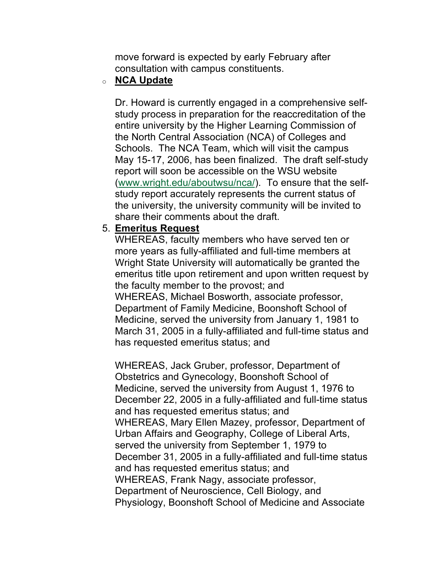move forward is expected by early February after consultation with campus constituents.

#### o **NCA Update**

 Dr. Howard is currently engaged in a comprehensive self- Schools. The NCA Team, which will visit the campus May 15-17, 2006, has been finalized. The draft self-study report will soon be accessible on the WSU website study report accurately represents the current status of share their comments about the draft. 5. **Emeritus Request**  study process in preparation for the reaccreditation of the entire university by the Higher Learning Commission of the North Central Association (NCA) of Colleges and ([www.wright.edu/aboutwsu/nca/](www.wright.edu/aboutwsu/nca)). To ensure that the selfthe university, the university community will be invited to

 WHEREAS, faculty members who have served ten or Wright State University will automatically be granted the WHEREAS, Michael Bosworth, associate professor, Department of Family Medicine, Boonshoft School of Medicine, served the university from January 1, 1981 to March 31, 2005 in a fully-affiliated and full-time status and more years as fully-affiliated and full-time members at emeritus title upon retirement and upon written request by the faculty member to the provost; and has requested emeritus status; and

 WHEREAS, Jack Gruber, professor, Department of Obstetrics and Gynecology, Boonshoft School of Medicine, served the university from August 1, 1976 to December 22, 2005 in a fully-affiliated and full-time status Urban Affairs and Geography, College of Liberal Arts, served the university from September 1, 1979 to December 31, 2005 in a fully-affiliated and full-time status WHEREAS, Frank Nagy, associate professor, Department of Neuroscience, Cell Biology, and Physiology, Boonshoft School of Medicine and Associate and has requested emeritus status; and WHEREAS, Mary Ellen Mazey, professor, Department of and has requested emeritus status; and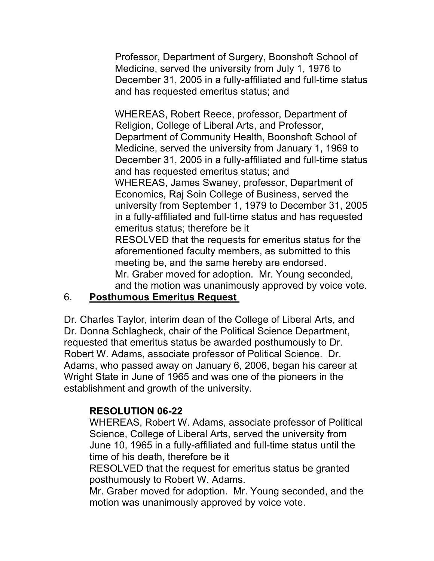Professor, Department of Surgery, Boonshoft School of Medicine, served the university from July 1, 1976 to December 31, 2005 in a fully-affiliated and full-time status and has requested emeritus status; and

 WHEREAS, Robert Reece, professor, Department of Religion, College of Liberal Arts, and Professor, Department of Community Health, Boonshoft School of Medicine, served the university from January 1, 1969 to December 31, 2005 in a fully-affiliated and full-time status WHEREAS, James Swaney, professor, Department of Economics, Raj Soin College of Business, served the RESOLVED that the requests for emeritus status for the meeting be, and the same hereby are endorsed. Mr. Graber moved for adoption. Mr. Young seconded, and has requested emeritus status; and university from September 1, 1979 to December 31, 2005 in a fully-affiliated and full-time status and has requested emeritus status; therefore be it aforementioned faculty members, as submitted to this and the motion was unanimously approved by voice vote.

# 6. **Posthumous Emeritus Request**

 Dr. Charles Taylor, interim dean of the College of Liberal Arts, and Dr. Donna Schlagheck, chair of the Political Science Department, requested that emeritus status be awarded posthumously to Dr. Robert W. Adams, associate professor of Political Science. Dr. Adams, who passed away on January 6, 2006, began his career at Wright State in June of 1965 and was one of the pioneers in the establishment and growth of the university.

#### **RESOLUTION 06-22**

 WHEREAS, Robert W. Adams, associate professor of Political Science, College of Liberal Arts, served the university from June 10, 1965 in a fully-affiliated and full-time status until the time of his death, therefore be it

 RESOLVED that the request for emeritus status be granted posthumously to Robert W. Adams.

 Mr. Graber moved for adoption. Mr. Young seconded, and the motion was unanimously approved by voice vote.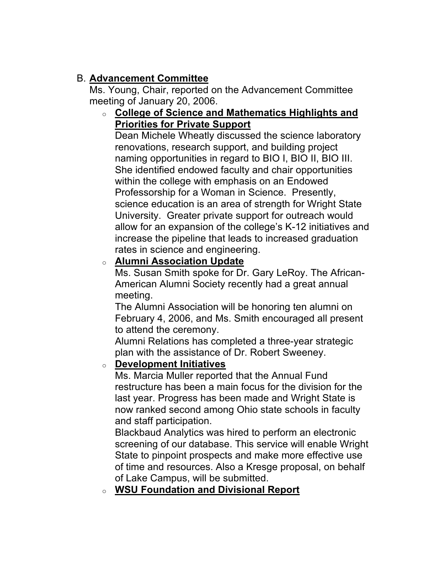# B. **Advancement Committee**

 Ms. Young, Chair, reported on the Advancement Committee meeting of January 20, 2006.

# o **College of Science and Mathematics Highlights and Priorities for Private Support**

 Dean Michele Wheatly discussed the science laboratory naming opportunities in regard to BIO I, BIO II, BIO III. She identified endowed faculty and chair opportunities within the college with emphasis on an Endowed Professorship for a Woman in Science. Presently, science education is an area of strength for Wright State allow for an expansion of the college's K-12 initiatives and rates in science and engineering. renovations, research support, and building project University. Greater private support for outreach would increase the pipeline that leads to increased graduation

# o **Alumni Association Update**

 Ms. Susan Smith spoke for Dr. Gary LeRoy. The African- American Alumni Society recently had a great annual meeting.

 February 4, 2006, and Ms. Smith encouraged all present The Alumni Association will be honoring ten alumni on to attend the ceremony.

 Alumni Relations has completed a three-year strategic plan with the assistance of Dr. Robert Sweeney.

# o **Development Initiatives**

 Ms. Marcia Muller reported that the Annual Fund restructure has been a main focus for the division for the last year. Progress has been made and Wright State is now ranked second among Ohio state schools in faculty and staff participation.

 screening of our database. This service will enable Wright State to pinpoint prospects and make more effective use of time and resources. Also a Kresge proposal, on behalf of Lake Campus, will be submitted. Blackbaud Analytics was hired to perform an electronic

# o **WSU Foundation and Divisional Report**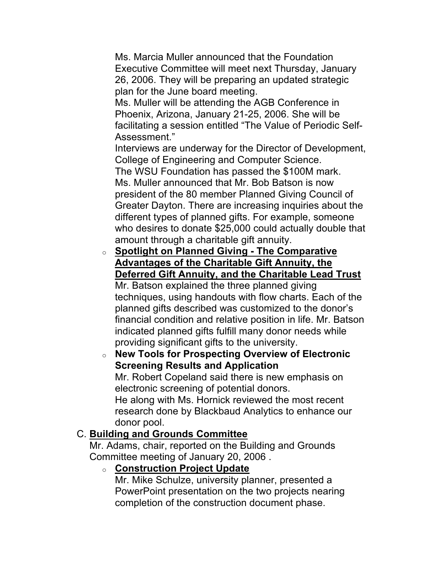Ms. Marcia Muller announced that the Foundation Executive Committee will meet next Thursday, January 26, 2006. They will be preparing an updated strategic plan for the June board meeting.

 Ms. Muller will be attending the AGB Conference in Phoenix, Arizona, January 21-25, 2006. She will be facilitating a session entitled "The Value of Periodic Self-Assessment."

 College of Engineering and Computer Science. Interviews are underway for the Director of Development,

 Ms. Muller announced that Mr. Bob Batson is now president of the 80 member Planned Giving Council of Greater Dayton. There are increasing inquiries about the different types of planned gifts. For example, someone who desires to donate \$25,000 could actually double that The WSU Foundation has passed the \$100M mark. amount through a charitable gift annuity.

 **Advantages of the Charitable Gift Annuity, the Deferred Gift Annuity, and the Charitable Lead Trust**  o **Spotlight on Planned Giving - The Comparative** 

 Mr. Batson explained the three planned giving techniques, using handouts with flow charts. Each of the planned gifts described was customized to the donor's financial condition and relative position in life. Mr. Batson indicated planned gifts fulfill many donor needs while providing significant gifts to the university.

 o **New Tools for Prospecting Overview of Electronic**  Mr. Robert Copeland said there is new emphasis on electronic screening of potential donors. He along with Ms. Hornick reviewed the most recent research done by Blackbaud Analytics to enhance our donor pool. **Screening Results and Application** 

# donor pool. C. **Building and Grounds Committee**

 Mr. Adams, chair, reported on the Building and Grounds Committee meeting of January 20, 2006 .

# o **Construction Project Update**

 Mr. Mike Schulze, university planner, presented a PowerPoint presentation on the two projects nearing completion of the construction document phase.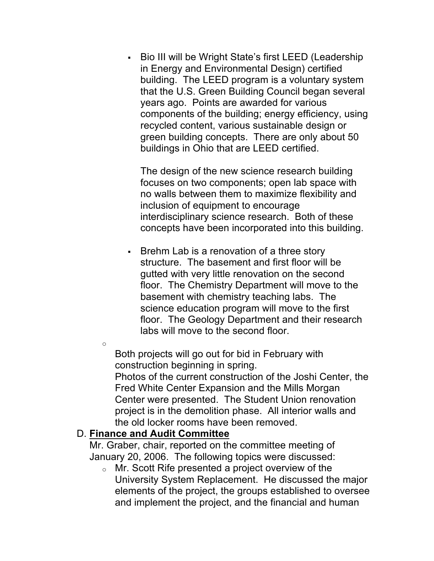• Bio III will be Wright State's first LEED (Leadership components of the building; energy efficiency, using recycled content, various sustainable design or buildings in Ohio that are LEED certified. in Energy and Environmental Design) certified building. The LEED program is a voluntary system that the U.S. Green Building Council began several years ago. Points are awarded for various green building concepts. There are only about 50

 The design of the new science research building focuses on two components; open lab space with no walls between them to maximize flexibility and inclusion of equipment to encourage interdisciplinary science research. Both of these concepts have been incorporated into this building.

 • Brehm Lab is a renovation of a three story science education program will move to the first labs will move to the second floor. structure. The basement and first floor will be gutted with very little renovation on the second floor. The Chemistry Department will move to the basement with chemistry teaching labs. The floor. The Geology Department and their research

 Both projects will go out for bid in February with Photos of the current construction of the Joshi Center, the Center were presented. The Student Union renovation the old locker rooms have been removed. D. **Finance and Audit Committee**  construction beginning in spring. Fred White Center Expansion and the Mills Morgan project is in the demolition phase. All interior walls and

o

 Mr. Graber, chair, reported on the committee meeting of January 20, 2006. The following topics were discussed:

 $\circ$  Mr. Scott Rife presented a project overview of the University System Replacement. He discussed the major elements of the project, the groups established to oversee and implement the project, and the financial and human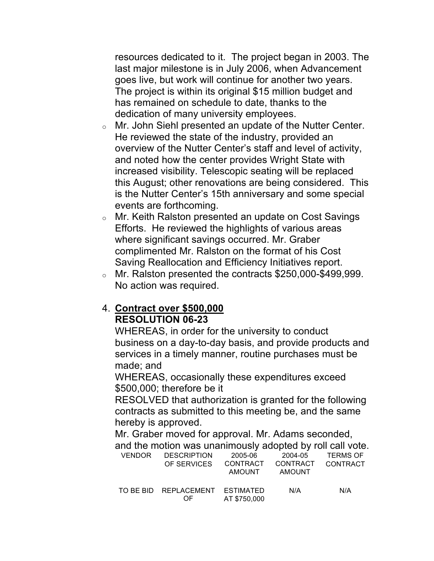resources dedicated to it. The project began in 2003. The goes live, but work will continue for another two years. The project is within its original \$15 million budget and dedication of many university employees. last major milestone is in July 2006, when Advancement has remained on schedule to date, thanks to the

- $\circ$  Mr. John Siehl presented an update of the Nutter Center. He reviewed the state of the industry, provided an overview of the Nutter Center's staff and level of activity, and noted how the center provides Wright State with increased visibility. Telescopic seating will be replaced this August; other renovations are being considered. This is the Nutter Center's 15th anniversary and some special events are forthcoming.
- $\circ$  Mr. Keith Ralston presented an update on Cost Savings where significant savings occurred. Mr. Graber complimented Mr. Ralston on the format of his Cost Saving Reallocation and Efficiency Initiatives report. Efforts. He reviewed the highlights of various areas
- $\circ$  Mr. Ralston presented the contracts \$250,000-\$499,999. No action was required.

#### 4. **Contract over \$500,000 RESOLUTION 06-23**

 WHEREAS, in order for the university to conduct services in a timely manner, routine purchases must be business on a day-to-day basis, and provide products and made; and

 WHEREAS, occasionally these expenditures exceed \$500,000; therefore be it

 RESOLVED that authorization is granted for the following contracts as submitted to this meeting be, and the same hereby is approved.

 Mr. Graber moved for approval. Mr. Adams seconded, and the motion was unanimously adopted by roll call vote.

| VENDOR | <b>DESCRIPTION</b><br>OF SERVICES     | 2005-06<br>CONTRACT<br>AMOUNT | 2004-05<br>CONTRACT<br><b>AMOUNT</b> | <b>TERMS OF</b><br>CONTRACT |
|--------|---------------------------------------|-------------------------------|--------------------------------------|-----------------------------|
|        | TO BE BID REPLACEMENT ESTIMATED<br>OE | AT \$750,000                  | N/A                                  | N/A                         |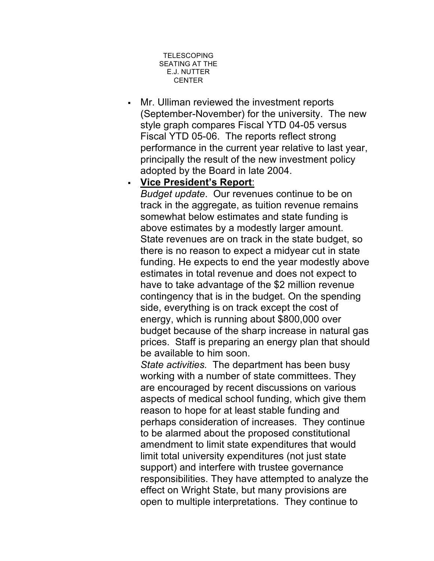

 • Mr. Ulliman reviewed the investment reports (September-November) for the university. The new style graph compares Fiscal YTD 04-05 versus Fiscal YTD 05-06. The reports reflect strong performance in the current year relative to last year, principally the result of the new investment policy adopted by the Board in late 2004.

#### • **Vice President's Report**:

 somewhat below estimates and state funding is above estimates by a modestly larger amount. above estimates by a modestly larger amount.<br>State revenues are on track in the state budget, so estimates in total revenue and does not expect to contingency that is in the budget. On the spending side, everything is on track except the cost of budget because of the sharp increase in natural gas *Budget update*. Our revenues continue to be on track in the aggregate, as tuition revenue remains there is no reason to expect a midyear cut in state funding. He expects to end the year modestly above have to take advantage of the \$2 million revenue energy, which is running about \$800,000 over prices. Staff is preparing an energy plan that should be available to him soon.

 working with a number of state committees. They aspects of medical school funding, which give them amendment to limit state expenditures that would responsibilities. They have attempted to analyze the effect on Wright State, but many provisions are *State activities.* The department has been busy are encouraged by recent discussions on various reason to hope for at least stable funding and perhaps consideration of increases. They continue to be alarmed about the proposed constitutional limit total university expenditures (not just state support) and interfere with trustee governance open to multiple interpretations. They continue to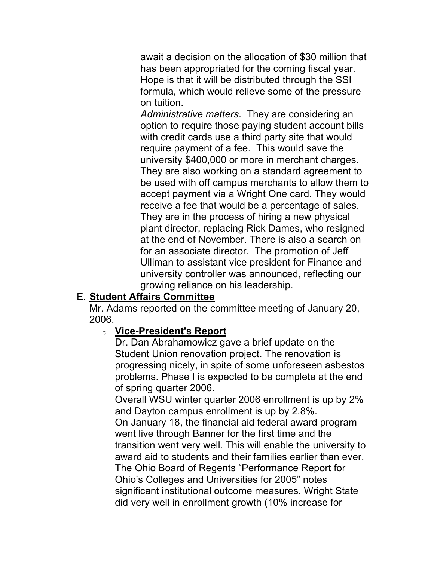has been appropriated for the coming fiscal year. Hope is that it will be distributed through the SSI await a decision on the allocation of \$30 million that formula, which would relieve some of the pressure on tuition.

 option to require those paying student account bills require payment of a fee. This would save the university \$400,000 or more in merchant charges. be used with off campus merchants to allow them to accept payment via a Wright One card. They would receive a fee that would be a percentage of sales. They are in the process of hiring a new physical plant director, replacing Rick Dames, who resigned at the end of November. There is also a search on Ulliman to assistant vice president for Finance and *Administrative matters*. They are considering an with credit cards use a third party site that would They are also working on a standard agreement to for an associate director. The promotion of Jeff university controller was announced, reflecting our growing reliance on his leadership.

# E. **Student Affairs Committee**

 Mr. Adams reported on the committee meeting of January 20, 2006.

#### o **Vice-President's Report**

 Dr. Dan Abrahamowicz gave a brief update on the Student Union renovation project. The renovation is progressing nicely, in spite of some unforeseen asbestos problems. Phase I is expected to be complete at the end of spring quarter 2006.

 Overall WSU winter quarter 2006 enrollment is up by 2% and Dayton campus enrollment is up by 2.8%.

 On January 18, the financial aid federal award program went live through Banner for the first time and the The Ohio Board of Regents "Performance Report for Ohio's Colleges and Universities for 2005" notes significant institutional outcome measures. Wright State transition went very well. This will enable the university to award aid to students and their families earlier than ever. did very well in enrollment growth (10% increase for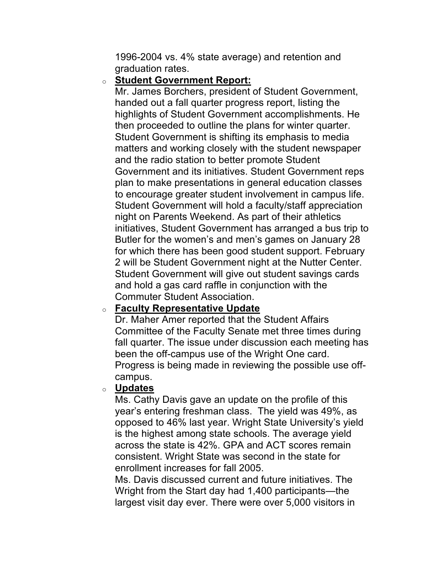1996-2004 vs. 4% state average) and retention and graduation rates.

#### o **Student Government Report:**

 Mr. James Borchers, president of Student Government, handed out a fall quarter progress report, listing the highlights of Student Government accomplishments. He Student Government is shifting its emphasis to media matters and working closely with the student newspaper Government and its initiatives. Student Government reps Student Government will hold a faculty/staff appreciation night on Parents Weekend. As part of their athletics 2 will be Student Government night at the Nutter Center. Student Government will give out student savings cards Commuter Student Association. then proceeded to outline the plans for winter quarter. and the radio station to better promote Student plan to make presentations in general education classes to encourage greater student involvement in campus life. initiatives, Student Government has arranged a bus trip to Butler for the women's and men's games on January 28 for which there has been good student support. February and hold a gas card raffle in conjunction with the

#### o **Faculty Representative Update**

 Dr. Maher Amer reported that the Student Affairs Committee of the Faculty Senate met three times during Progress is being made in reviewing the possible use offfall quarter. The issue under discussion each meeting has been the off-campus use of the Wright One card. campus.

#### o **Updates**

 Ms. Cathy Davis gave an update on the profile of this opposed to 46% last year. Wright State University's yield across the state is 42%. GPA and ACT scores remain consistent. Wright State was second in the state for enrollment increases for fall 2005. year's entering freshman class. The yield was 49%, as is the highest among state schools. The average yield

 Ms. Davis discussed current and future initiatives. The Wright from the Start day had 1,400 participants—the largest visit day ever. There were over 5,000 visitors in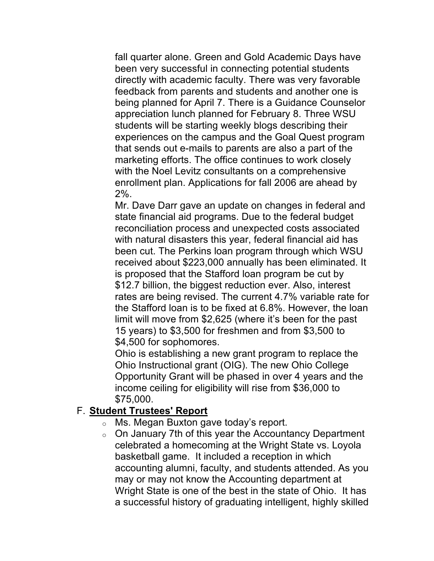being planned for April 7. There is a Guidance Counselor experiences on the campus and the Goal Quest program that sends out e-mails to parents are also a part of the marketing efforts. The office continues to work closely with the Noel Levitz consultants on a comprehensive enrollment plan. Applications for fall 2006 are ahead by fall quarter alone. Green and Gold Academic Days have been very successful in connecting potential students directly with academic faculty. There was very favorable feedback from parents and students and another one is appreciation lunch planned for February 8. Three WSU students will be starting weekly blogs describing their 2%.

 Mr. Dave Darr gave an update on changes in federal and state financial aid programs. Due to the federal budget reconciliation process and unexpected costs associated with natural disasters this year, federal financial aid has received about \$223,000 annually has been eliminated. It \$12.7 billion, the biggest reduction ever. Also, interest rates are being revised. The current 4.7% variable rate for been cut. The Perkins loan program through which WSU is proposed that the Stafford loan program be cut by the Stafford loan is to be fixed at 6.8%. However, the loan limit will move from \$2,625 (where it's been for the past 15 years) to \$3,500 for freshmen and from \$3,500 to \$4,500 for sophomores.

 Ohio is establishing a new grant program to replace the Opportunity Grant will be phased in over 4 years and the Ohio Instructional grant (OIG). The new Ohio College income ceiling for eligibility will rise from \$36,000 to \$75,000.

#### F. **Student Trustees' Report**

- $\circ$  Ms. Megan Buxton gave today's report.
- $\circ$  On January 7th of this year the Accountancy Department celebrated a homecoming at the Wright State vs. Loyola accounting alumni, faculty, and students attended. As you may or may not know the Accounting department at Wright State is one of the best in the state of Ohio. It has a successful history of graduating intelligent, highly skilled basketball game. It included a reception in which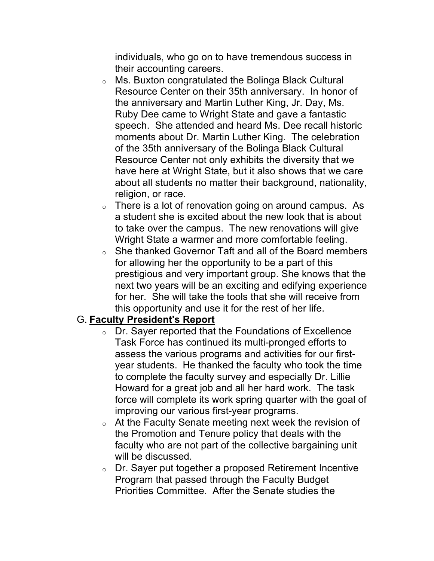their accounting careers. individuals, who go on to have tremendous success in

- $\circ$  Ms. Buxton congratulated the Bolinga Black Cultural Resource Center on their 35th anniversary. In honor of Ruby Dee came to Wright State and gave a fantastic moments about Dr. Martin Luther King. The celebration Resource Center not only exhibits the diversity that we have here at Wright State, but it also shows that we care about all students no matter their background, nationality, the anniversary and Martin Luther King, Jr. Day, Ms. speech. She attended and heard Ms. Dee recall historic of the 35th anniversary of the Bolinga Black Cultural religion, or race.
- $\circ$  There is a lot of renovation going on around campus. As a student she is excited about the new look that is about Wright State a warmer and more comfortable feeling. to take over the campus. The new renovations will give
- $\circ$  She thanked Governor Taft and all of the Board members prestigious and very important group. She knows that the this opportunity and use it for the rest of her life. G. **Faculty President's Report**  for allowing her the opportunity to be a part of this next two years will be an exciting and edifying experience for her. She will take the tools that she will receive from

- $\circ$  Dr. Sayer reported that the Foundations of Excellence Task Force has continued its multi-pronged efforts to assess the various programs and activities for our first- Howard for a great job and all her hard work. The task year students. He thanked the faculty who took the time to complete the faculty survey and especially Dr. Lillie force will complete its work spring quarter with the goal of improving our various first-year programs.
- $\circ$  At the Faculty Senate meeting next week the revision of will be discussed. the Promotion and Tenure policy that deals with the faculty who are not part of the collective bargaining unit
- $\circ$  Dr. Sayer put together a proposed Retirement Incentive Program that passed through the Faculty Budget Priorities Committee. After the Senate studies the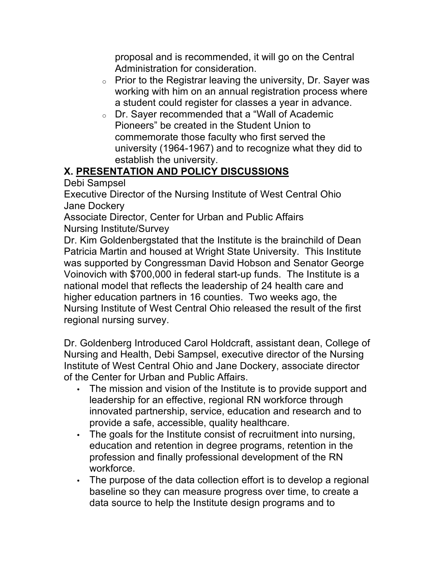proposal and is recommended, it will go on the Central Administration for consideration.

- $\circ$  Prior to the Registrar leaving the university, Dr. Sayer was a student could register for classes a year in advance. working with him on an annual registration process where
- $\circ$  Dr. Sayer recommended that a "Wall of Academic Pioneers" be created in the Student Union to commemorate those faculty who first served the university (1964-1967) and to recognize what they did to establish the university.

# **X. PRESENTATION AND POLICY DISCUSSIONS**

Debi Sampsel

 Executive Director of the Nursing Institute of West Central Ohio Jane Dockery

 Associate Director, Center for Urban and Public Affairs Nursing Institute/Survey

 Dr. Kim Goldenbergstated that the Institute is the brainchild of Dean Patricia Martin and housed at Wright State University. This Institute was supported by Congressman David Hobson and Senator George Voinovich with \$700,000 in federal start-up funds. The Institute is a national model that reflects the leadership of 24 health care and Nursing Institute of West Central Ohio released the result of the first regional nursing survey. higher education partners in 16 counties. Two weeks ago, the

 Dr. Goldenberg Introduced Carol Holdcraft, assistant dean, College of Nursing and Health, Debi Sampsel, executive director of the Nursing of the Center for Urban and Public Affairs. Institute of West Central Ohio and Jane Dockery, associate director

- provide a safe, accessible, quality healthcare. • The mission and vision of the Institute is to provide support and leadership for an effective, regional RN workforce through innovated partnership, service, education and research and to
- • The goals for the Institute consist of recruitment into nursing, profession and finally professional development of the RN education and retention in degree programs, retention in the workforce.
- • The purpose of the data collection effort is to develop a regional baseline so they can measure progress over time, to create a data source to help the Institute design programs and to